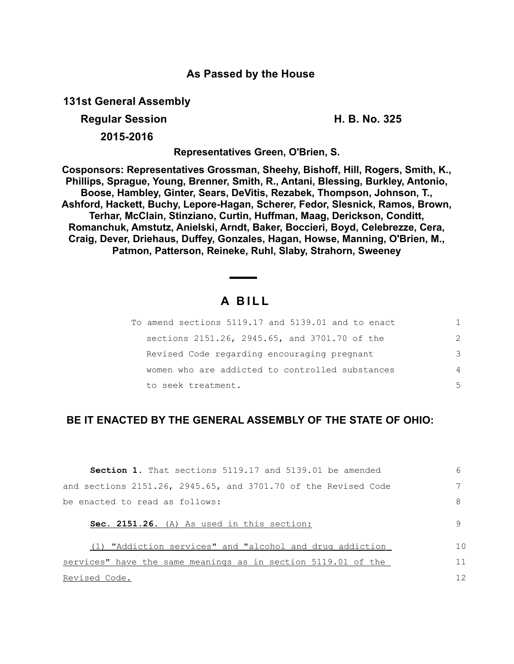## **As Passed by the House**

**131st General Assembly**

**Regular Session Contract Contract Contract Contract Contract Contract Contract Contract Contract Contract Contract Contract Contract Contract Contract Contract Contract Contract Contract Contract Contract Contract Contrac** 

**2015-2016**

**Representatives Green, O'Brien, S.**

**Cosponsors: Representatives Grossman, Sheehy, Bishoff, Hill, Rogers, Smith, K., Phillips, Sprague, Young, Brenner, Smith, R., Antani, Blessing, Burkley, Antonio, Boose, Hambley, Ginter, Sears, DeVitis, Rezabek, Thompson, Johnson, T., Ashford, Hackett, Buchy, Lepore-Hagan, Scherer, Fedor, Slesnick, Ramos, Brown, Terhar, McClain, Stinziano, Curtin, Huffman, Maag, Derickson, Conditt, Romanchuk, Amstutz, Anielski, Arndt, Baker, Boccieri, Boyd, Celebrezze, Cera, Craig, Dever, Driehaus, Duffey, Gonzales, Hagan, Howse, Manning, O'Brien, M., Patmon, Patterson, Reineke, Ruhl, Slaby, Strahorn, Sweeney**

# **A B I L L**

| To amend sections 5119.17 and 5139.01 and to enact |                |
|----------------------------------------------------|----------------|
| sections 2151.26, 2945.65, and 3701.70 of the      | $\mathcal{P}$  |
| Revised Code regarding encouraging pregnant        | 3              |
| women who are addicted to controlled substances    | $\overline{4}$ |
| to seek treatment.                                 | 5              |

## **BE IT ENACTED BY THE GENERAL ASSEMBLY OF THE STATE OF OHIO:**

| <b>Section 1.</b> That sections 5119.17 and 5139.01 be amended | 6  |  |  |  |
|----------------------------------------------------------------|----|--|--|--|
| and sections 2151.26, 2945.65, and 3701.70 of the Revised Code |    |  |  |  |
| be enacted to read as follows:                                 |    |  |  |  |
| Sec. 2151.26. (A) As used in this section:                     |    |  |  |  |
| (1) "Addiction services" and "alcohol and drug addiction       | 10 |  |  |  |
| services" have the same meanings as in section 5119.01 of the  | 11 |  |  |  |
| Revised Code.                                                  | 12 |  |  |  |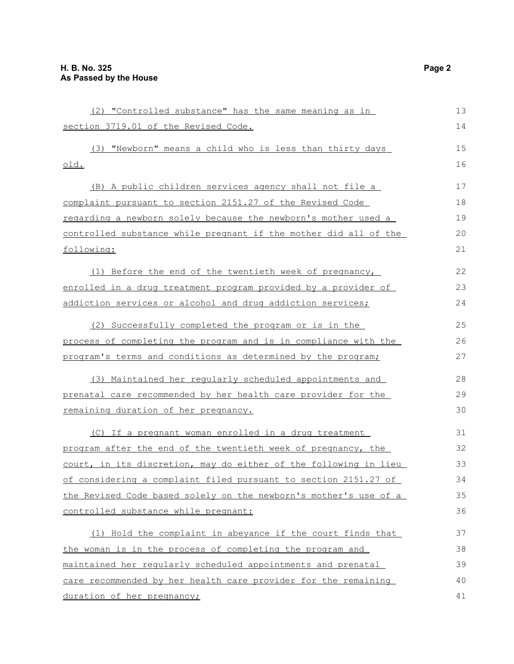(2) "Controlled substance" has the same meaning as in section 3719.01 of the Revised Code. (3) "Newborn" means a child who is less than thirty days old. (B) A public children services agency shall not file a complaint pursuant to section 2151.27 of the Revised Code regarding a newborn solely because the newborn's mother used a controlled substance while pregnant if the mother did all of the following: (1) Before the end of the twentieth week of pregnancy, enrolled in a drug treatment program provided by a provider of addiction services or alcohol and drug addiction services; (2) Successfully completed the program or is in the process of completing the program and is in compliance with the program's terms and conditions as determined by the program; (3) Maintained her regularly scheduled appointments and prenatal care recommended by her health care provider for the remaining duration of her pregnancy. (C) If a pregnant woman enrolled in a drug treatment program after the end of the twentieth week of pregnancy, the court, in its discretion, may do either of the following in lieu of considering a complaint filed pursuant to section 2151.27 of the Revised Code based solely on the newborn's mother's use of a controlled substance while pregnant: (1) Hold the complaint in abeyance if the court finds that the woman is in the process of completing the program and maintained her regularly scheduled appointments and prenatal care recommended by her health care provider for the remaining duration of her pregnancy; 13 14 15 16 17 18 19 20 21 22 23 24 25 26 27 28 29 30 31 32 33 34 35 36 37 38 39 40 41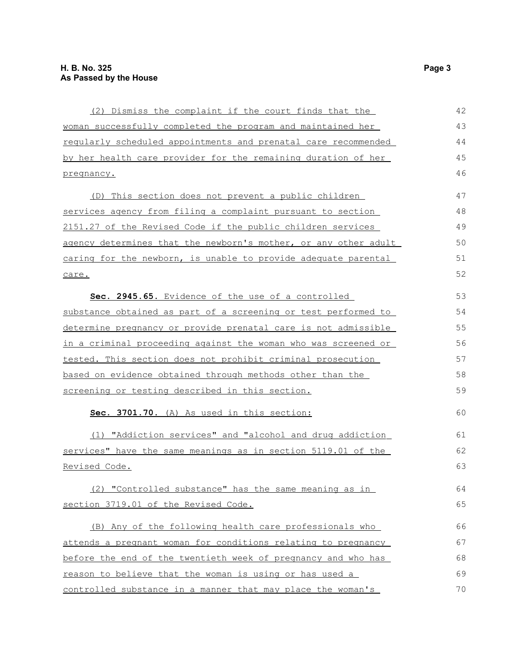| (2) Dismiss the complaint if the court finds that the           | 42 |  |  |  |
|-----------------------------------------------------------------|----|--|--|--|
| woman successfully completed the program and maintained her     |    |  |  |  |
| regularly scheduled appointments and prenatal care recommended  | 44 |  |  |  |
| by her health care provider for the remaining duration of her   | 45 |  |  |  |
| pregnancy.                                                      | 46 |  |  |  |
| (D) This section does not prevent a public children             | 47 |  |  |  |
| services agency from filing a complaint pursuant to section     | 48 |  |  |  |
| 2151.27 of the Revised Code if the public children services     | 49 |  |  |  |
| agency determines that the newborn's mother, or any other adult | 50 |  |  |  |
| caring for the newborn, is unable to provide adequate parental  | 51 |  |  |  |
| care.                                                           | 52 |  |  |  |
| Sec. 2945.65. Evidence of the use of a controlled               | 53 |  |  |  |
| substance obtained as part of a screening or test performed to  | 54 |  |  |  |
| determine pregnancy or provide prenatal care is not admissible  | 55 |  |  |  |
| in a criminal proceeding against the woman who was screened or  | 56 |  |  |  |
| tested. This section does not prohibit criminal prosecution     | 57 |  |  |  |
| based on evidence obtained through methods other than the       | 58 |  |  |  |
| screening or testing described in this section.                 | 59 |  |  |  |
| Sec. 3701.70. (A) As used in this section:                      | 60 |  |  |  |
| (1) "Addiction services" and "alcohol and drug addiction        | 61 |  |  |  |
| services" have the same meanings as in section 5119.01 of the   |    |  |  |  |
| <u>Revised Code.</u>                                            | 63 |  |  |  |
| (2) "Controlled substance" has the same meaning as in           | 64 |  |  |  |
| section 3719.01 of the Revised Code.                            | 65 |  |  |  |
| (B) Any of the following health care professionals who          | 66 |  |  |  |
| attends a pregnant woman for conditions relating to pregnancy   | 67 |  |  |  |
| before the end of the twentieth week of pregnancy and who has   | 68 |  |  |  |
| reason to believe that the woman is using or has used a         | 69 |  |  |  |
| controlled substance in a manner that may place the woman's     | 70 |  |  |  |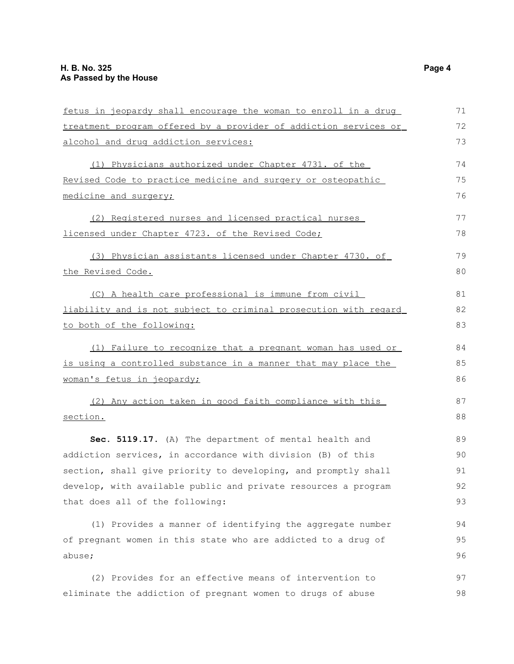| fetus in jeopardy shall encourage the woman to enroll in a drug  | 71 |
|------------------------------------------------------------------|----|
| treatment program offered by a provider of addiction services or | 72 |
| alcohol and drug addiction services:                             | 73 |
| (1) Physicians authorized under Chapter 4731. of the             | 74 |
| Revised Code to practice medicine and surgery or osteopathic     | 75 |
| medicine and surgery;                                            | 76 |
| (2) Registered nurses and licensed practical nurses              | 77 |
| licensed under Chapter 4723. of the Revised Code;                | 78 |
| (3) Physician assistants licensed under Chapter 4730. of         | 79 |
| the Revised Code.                                                | 80 |
| (C) A health care professional is immune from civil              | 81 |
| liability and is not subject to criminal prosecution with regard | 82 |
| to both of the following:                                        | 83 |
| (1) Failure to recognize that a pregnant woman has used or       | 84 |
| is using a controlled substance in a manner that may place the   | 85 |
| woman's fetus in jeopardy;                                       | 86 |
| (2) Any action taken in good faith compliance with this          | 87 |
| section.                                                         | 88 |
| Sec. 5119.17. (A) The department of mental health and            | 89 |
| addiction services, in accordance with division (B) of this      | 90 |
| section, shall give priority to developing, and promptly shall   | 91 |
| develop, with available public and private resources a program   | 92 |
| that does all of the following:                                  | 93 |
| (1) Provides a manner of identifying the aggregate number        | 94 |
| of pregnant women in this state who are addicted to a drug of    | 95 |
| abuse;                                                           | 96 |
| (2) Provides for an effective means of intervention to           | 97 |
| eliminate the addiction of pregnant women to drugs of abuse      | 98 |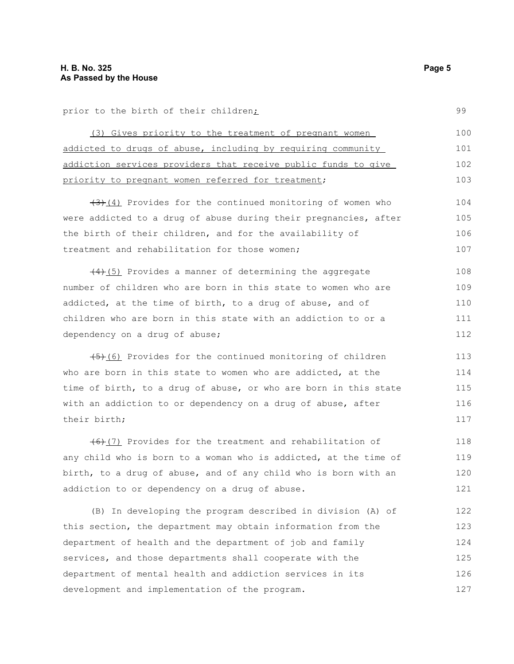prior to the birth of their children;

(3) Gives priority to the treatment of pregnant women addicted to drugs of abuse, including by requiring community addiction services providers that receive public funds to give priority to pregnant women referred for treatment; 100 101 102 103

 $(3)$  (4) Provides for the continued monitoring of women who were addicted to a drug of abuse during their pregnancies, after the birth of their children, and for the availability of treatment and rehabilitation for those women; 104 105 106 107

 $(4)$ (5) Provides a manner of determining the aggregate number of children who are born in this state to women who are addicted, at the time of birth, to a drug of abuse, and of children who are born in this state with an addiction to or a dependency on a drug of abuse; 108 109 110 111 112

 $(45)$ (6) Provides for the continued monitoring of children who are born in this state to women who are addicted, at the time of birth, to a drug of abuse, or who are born in this state with an addiction to or dependency on a drug of abuse, after their birth; 113 114 115 116

(6)(7) Provides for the treatment and rehabilitation of any child who is born to a woman who is addicted, at the time of birth, to a drug of abuse, and of any child who is born with an addiction to or dependency on a drug of abuse. 118 119 120 121

(B) In developing the program described in division (A) of this section, the department may obtain information from the department of health and the department of job and family services, and those departments shall cooperate with the department of mental health and addiction services in its development and implementation of the program. 122 123 124 125 126 127

99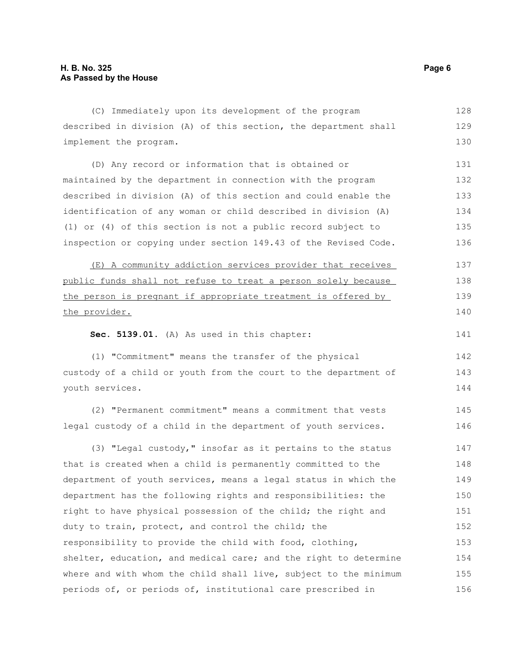described in division (A) of this section, the department shall implement the program. (D) Any record or information that is obtained or maintained by the department in connection with the program described in division (A) of this section and could enable the identification of any woman or child described in division (A) (1) or (4) of this section is not a public record subject to inspection or copying under section 149.43 of the Revised Code. (E) A community addiction services provider that receives public funds shall not refuse to treat a person solely because the person is pregnant if appropriate treatment is offered by the provider. **Sec. 5139.01.** (A) As used in this chapter: (1) "Commitment" means the transfer of the physical custody of a child or youth from the court to the department of youth services. (2) "Permanent commitment" means a commitment that vests legal custody of a child in the department of youth services. (3) "Legal custody," insofar as it pertains to the status that is created when a child is permanently committed to the department of youth services, means a legal status in which the department has the following rights and responsibilities: the right to have physical possession of the child; the right and 129 130 131 132 133 134 135 136 137 138 139 140 141 142 143 144 145 146 147 148 149 150 151

(C) Immediately upon its development of the program

responsibility to provide the child with food, clothing, shelter, education, and medical care; and the right to determine where and with whom the child shall live, subject to the minimum periods of, or periods of, institutional care prescribed in 153 154 155 156

duty to train, protect, and control the child; the

128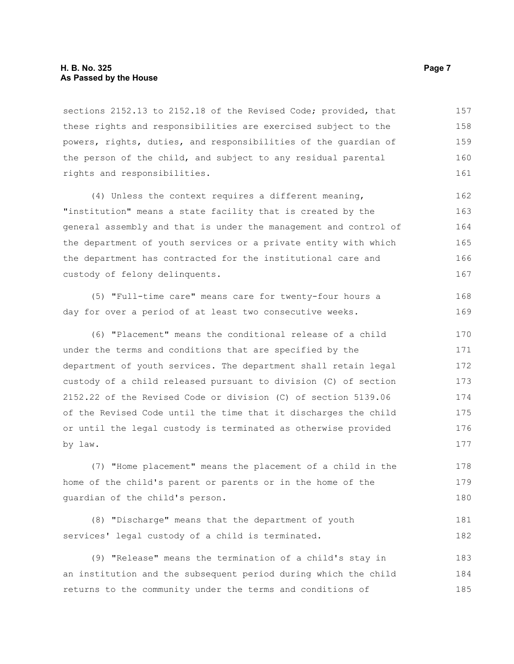#### **H. B. No. 325 Page 7 As Passed by the House**

sections 2152.13 to 2152.18 of the Revised Code; provided, that these rights and responsibilities are exercised subject to the powers, rights, duties, and responsibilities of the guardian of the person of the child, and subject to any residual parental rights and responsibilities. 157 158 159 160 161

(4) Unless the context requires a different meaning, "institution" means a state facility that is created by the general assembly and that is under the management and control of the department of youth services or a private entity with which the department has contracted for the institutional care and custody of felony delinquents. 162 163 164 165 166 167

(5) "Full-time care" means care for twenty-four hours a day for over a period of at least two consecutive weeks. 168 169

(6) "Placement" means the conditional release of a child under the terms and conditions that are specified by the department of youth services. The department shall retain legal custody of a child released pursuant to division (C) of section 2152.22 of the Revised Code or division (C) of section 5139.06 of the Revised Code until the time that it discharges the child or until the legal custody is terminated as otherwise provided by law. 170 171 172 173 174 175 176 177

(7) "Home placement" means the placement of a child in the home of the child's parent or parents or in the home of the guardian of the child's person. 178 179 180

|  | (8) "Discharge" means that the department of youth | 181 |
|--|----------------------------------------------------|-----|
|  | services' legal custody of a child is terminated.  | 182 |

(9) "Release" means the termination of a child's stay in an institution and the subsequent period during which the child returns to the community under the terms and conditions of 183 184 185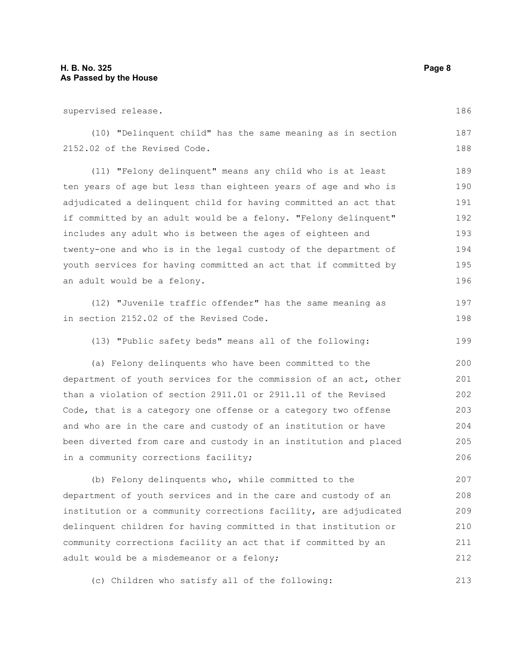supervised release. (10) "Delinquent child" has the same meaning as in section 2152.02 of the Revised Code. (11) "Felony delinquent" means any child who is at least ten years of age but less than eighteen years of age and who is adjudicated a delinquent child for having committed an act that if committed by an adult would be a felony. "Felony delinquent" includes any adult who is between the ages of eighteen and twenty-one and who is in the legal custody of the department of youth services for having committed an act that if committed by an adult would be a felony. (12) "Juvenile traffic offender" has the same meaning as in section 2152.02 of the Revised Code. (13) "Public safety beds" means all of the following: (a) Felony delinquents who have been committed to the department of youth services for the commission of an act, other than a violation of section 2911.01 or 2911.11 of the Revised Code, that is a category one offense or a category two offense and who are in the care and custody of an institution or have been diverted from care and custody in an institution and placed in a community corrections facility; (b) Felony delinquents who, while committed to the department of youth services and in the care and custody of an institution or a community corrections facility, are adjudicated delinquent children for having committed in that institution or community corrections facility an act that if committed by an 186 187 188 189 190 191 192 193 194 195 196 197 198 199 200 201 202 203 204 205 206 207 208 209 210 211

(c) Children who satisfy all of the following: 213

adult would be a misdemeanor or a felony;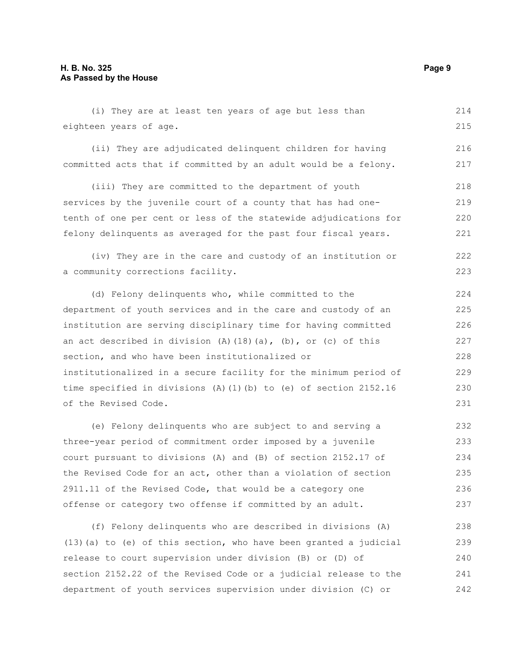(i) They are at least ten years of age but less than eighteen years of age. 214 215

(ii) They are adjudicated delinquent children for having committed acts that if committed by an adult would be a felony. 216 217

(iii) They are committed to the department of youth services by the juvenile court of a county that has had onetenth of one per cent or less of the statewide adjudications for felony delinquents as averaged for the past four fiscal years. 218 219 220 221

(iv) They are in the care and custody of an institution or a community corrections facility. 222 223

(d) Felony delinquents who, while committed to the department of youth services and in the care and custody of an institution are serving disciplinary time for having committed an act described in division (A)(18)(a), (b), or (c) of this section, and who have been institutionalized or institutionalized in a secure facility for the minimum period of time specified in divisions (A)(1)(b) to (e) of section 2152.16 of the Revised Code. 224 225 226 227 228 229 230 231

(e) Felony delinquents who are subject to and serving a three-year period of commitment order imposed by a juvenile court pursuant to divisions (A) and (B) of section 2152.17 of the Revised Code for an act, other than a violation of section 2911.11 of the Revised Code, that would be a category one offense or category two offense if committed by an adult. 232 233 234 235 236 237

(f) Felony delinquents who are described in divisions (A) (13)(a) to (e) of this section, who have been granted a judicial release to court supervision under division (B) or (D) of section 2152.22 of the Revised Code or a judicial release to the department of youth services supervision under division (C) or 238 239 240 241 242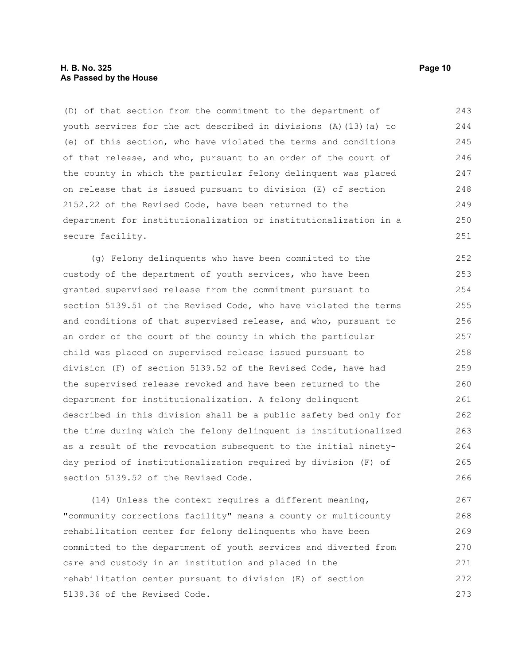#### **H. B. No. 325 Page 10 As Passed by the House**

(D) of that section from the commitment to the department of youth services for the act described in divisions (A)(13)(a) to (e) of this section, who have violated the terms and conditions of that release, and who, pursuant to an order of the court of the county in which the particular felony delinquent was placed on release that is issued pursuant to division (E) of section 2152.22 of the Revised Code, have been returned to the department for institutionalization or institutionalization in a secure facility. 243 244 245 246 247 248 249 250 251

(g) Felony delinquents who have been committed to the custody of the department of youth services, who have been granted supervised release from the commitment pursuant to section 5139.51 of the Revised Code, who have violated the terms and conditions of that supervised release, and who, pursuant to an order of the court of the county in which the particular child was placed on supervised release issued pursuant to division (F) of section 5139.52 of the Revised Code, have had the supervised release revoked and have been returned to the department for institutionalization. A felony delinquent described in this division shall be a public safety bed only for the time during which the felony delinquent is institutionalized as a result of the revocation subsequent to the initial ninetyday period of institutionalization required by division (F) of section 5139.52 of the Revised Code. 252 253 254 255 256 257 258 259 260 261 262 263 264 265 266

(14) Unless the context requires a different meaning, "community corrections facility" means a county or multicounty rehabilitation center for felony delinquents who have been committed to the department of youth services and diverted from care and custody in an institution and placed in the rehabilitation center pursuant to division (E) of section 5139.36 of the Revised Code. 267 268 269 270 271 272 273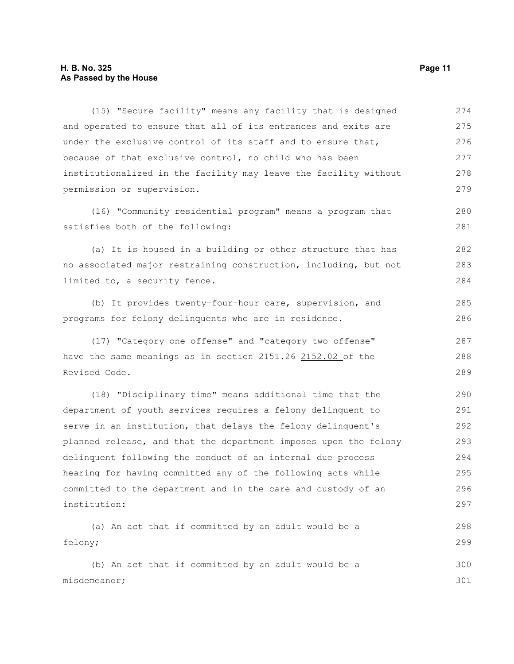### **H. B. No. 325 Page 11 As Passed by the House**

misdemeanor;

(15) "Secure facility" means any facility that is designed and operated to ensure that all of its entrances and exits are under the exclusive control of its staff and to ensure that, because of that exclusive control, no child who has been institutionalized in the facility may leave the facility without permission or supervision. 274 275 276 277 278 279

(16) "Community residential program" means a program that satisfies both of the following:

(a) It is housed in a building or other structure that has no associated major restraining construction, including, but not limited to, a security fence. 282 283 284

(b) It provides twenty-four-hour care, supervision, and programs for felony delinquents who are in residence. 285 286

(17) "Category one offense" and "category two offense" have the same meanings as in section  $2151.26 - 2152.02$  of the Revised Code. 287 288 289

(18) "Disciplinary time" means additional time that the department of youth services requires a felony delinquent to serve in an institution, that delays the felony delinquent's planned release, and that the department imposes upon the felony delinquent following the conduct of an internal due process hearing for having committed any of the following acts while committed to the department and in the care and custody of an institution: 290 291 292 293 294 295 296 297

```
(a) An act that if committed by an adult would be a
felony;
     (b) An act that if committed by an adult would be a
                                                                            298
                                                                            299
                                                                            300
```
280 281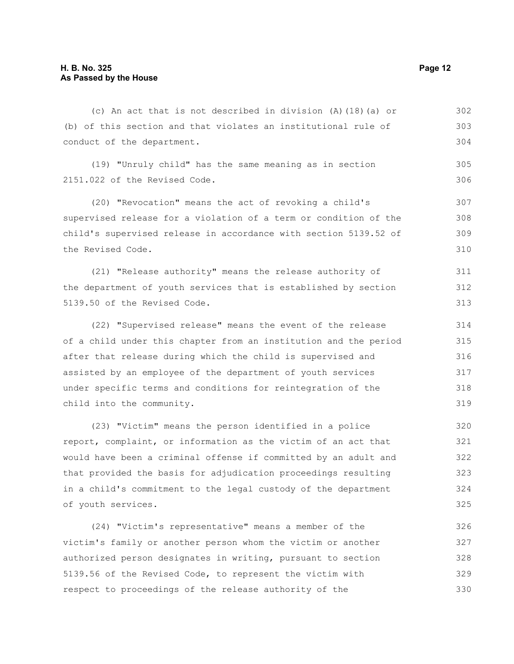(c) An act that is not described in division (A)(18)(a) or (b) of this section and that violates an institutional rule of conduct of the department. 302 303 304

(19) "Unruly child" has the same meaning as in section 2151.022 of the Revised Code. 305 306

(20) "Revocation" means the act of revoking a child's supervised release for a violation of a term or condition of the child's supervised release in accordance with section 5139.52 of the Revised Code. 307 308 309 310

(21) "Release authority" means the release authority of the department of youth services that is established by section 5139.50 of the Revised Code. 311 312 313

(22) "Supervised release" means the event of the release of a child under this chapter from an institution and the period after that release during which the child is supervised and assisted by an employee of the department of youth services under specific terms and conditions for reintegration of the child into the community. 314 315 316 317 318 319

(23) "Victim" means the person identified in a police report, complaint, or information as the victim of an act that would have been a criminal offense if committed by an adult and that provided the basis for adjudication proceedings resulting in a child's commitment to the legal custody of the department of youth services. 320 321 322 323 324 325

(24) "Victim's representative" means a member of the victim's family or another person whom the victim or another authorized person designates in writing, pursuant to section 5139.56 of the Revised Code, to represent the victim with respect to proceedings of the release authority of the 326 327 328 329 330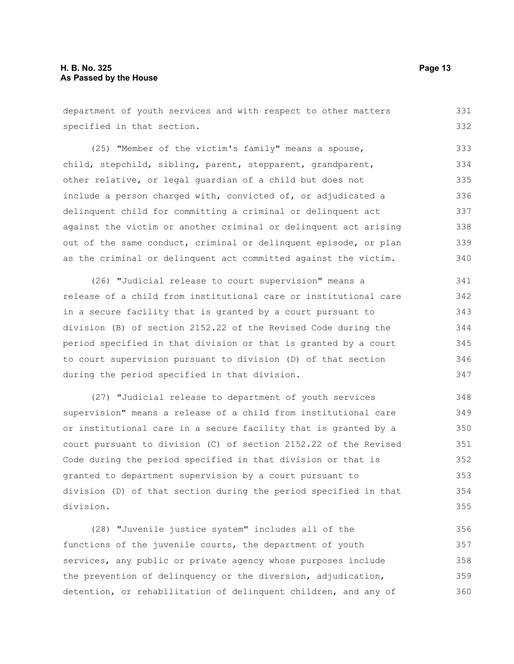department of youth services and with respect to other matters specified in that section. 331 332

(25) "Member of the victim's family" means a spouse, child, stepchild, sibling, parent, stepparent, grandparent, other relative, or legal guardian of a child but does not include a person charged with, convicted of, or adjudicated a delinquent child for committing a criminal or delinquent act against the victim or another criminal or delinquent act arising out of the same conduct, criminal or delinquent episode, or plan as the criminal or delinquent act committed against the victim. 333 334 335 336 337 338 339 340

(26) "Judicial release to court supervision" means a release of a child from institutional care or institutional care in a secure facility that is granted by a court pursuant to division (B) of section 2152.22 of the Revised Code during the period specified in that division or that is granted by a court to court supervision pursuant to division (D) of that section during the period specified in that division. 341 342 343 344 345 346 347

(27) "Judicial release to department of youth services supervision" means a release of a child from institutional care or institutional care in a secure facility that is granted by a court pursuant to division (C) of section 2152.22 of the Revised Code during the period specified in that division or that is granted to department supervision by a court pursuant to division (D) of that section during the period specified in that division. 348 349 350 351 352 353 354 355

(28) "Juvenile justice system" includes all of the functions of the juvenile courts, the department of youth services, any public or private agency whose purposes include the prevention of delinquency or the diversion, adjudication, detention, or rehabilitation of delinquent children, and any of 356 357 358 359 360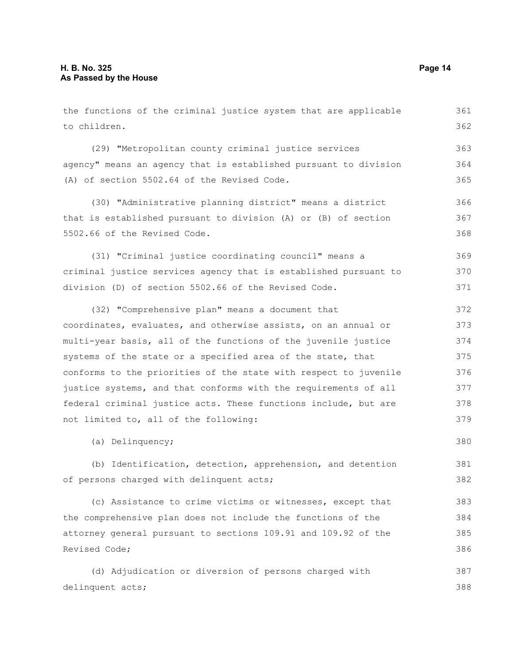the functions of the criminal justice system that are applicable to children. (29) "Metropolitan county criminal justice services agency" means an agency that is established pursuant to division (A) of section 5502.64 of the Revised Code. (30) "Administrative planning district" means a district that is established pursuant to division (A) or (B) of section 5502.66 of the Revised Code. (31) "Criminal justice coordinating council" means a criminal justice services agency that is established pursuant to division (D) of section 5502.66 of the Revised Code. (32) "Comprehensive plan" means a document that coordinates, evaluates, and otherwise assists, on an annual or multi-year basis, all of the functions of the juvenile justice systems of the state or a specified area of the state, that conforms to the priorities of the state with respect to juvenile justice systems, and that conforms with the requirements of all federal criminal justice acts. These functions include, but are not limited to, all of the following: (a) Delinquency; (b) Identification, detection, apprehension, and detention of persons charged with delinquent acts; (c) Assistance to crime victims or witnesses, except that the comprehensive plan does not include the functions of the attorney general pursuant to sections 109.91 and 109.92 of the Revised Code; 361 362 363 364 365 366 367 368 369 370 371 372 373 374 375 376 377 378 379 380 381 382 383 384 385 386

(d) Adjudication or diversion of persons charged with delinquent acts; 387 388